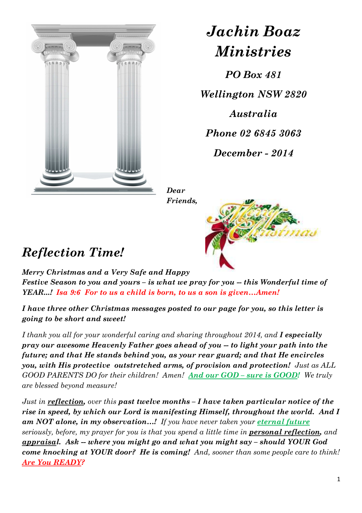

*Jachin Boaz Ministries*

*PO Box 481* 

*Wellington NSW 2820* 

*Australia* 

*Phone 02 6845 3063* 

*December - 2014* 

*Dear Friends,* 



## *Reflection Time!*

*Merry Christmas and a Very Safe and Happy Festive Season to you and yours – is what we pray for you -- this Wonderful time of YEAR...! Isa 9:6 For to us a child is born, to us a son is given…Amen!*

*I have three other Christmas messages posted to our page for you, so this letter is going to be short and sweet!* 

*I thank you all for your wonderful caring and sharing throughout 2014, and <i>I especially pray our awesome Heavenly Father goes ahead of you -- to light your path into the future; and that He stands behind you, as your rear guard; and that He encircles you, with His protective outstretched arms, of provision and protection! Just as ALL GOOD PARENTS DO for their children! Amen! And our GOD – sure is GOOD! We truly are blessed beyond measure!* 

*Just in reflection, over this past twelve months – I have taken particular notice of the rise in speed, by which our Lord is manifesting Himself, throughout the world. And I*  **am NOT alone, in my observation...!** If you have never taken your *eternal future seriously, before, my prayer for you is that you spend a little time in personal reflection, and appraisal. Ask -- where you might go and what you might say – should YOUR God come knocking at YOUR door? He is coming! And, sooner than some people care to think! Are You READY?*